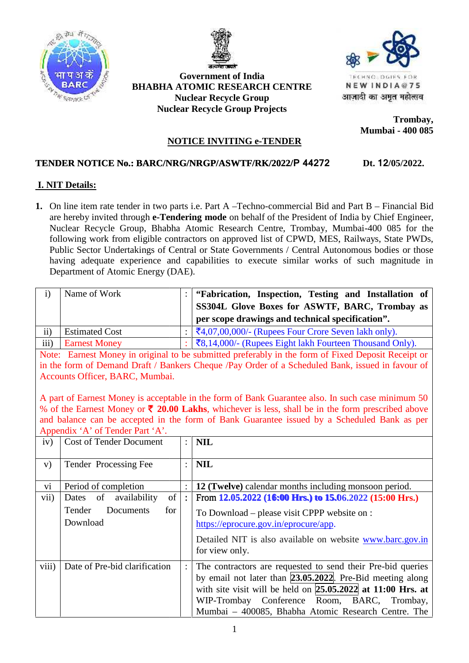



**Government of India BHABHA ATOMIC RESEARCH CENTRE Nuclear Recycle Group Nuclear Recycle Group Projects Government of India<br>BHA ATOMIC RESEARCH CENTRE<br>Nuclear Recycle Group<br>Nuclear Recycle Group Projects** 



**Trombay, Mumbai - 400 085 Mumbai**

# **NOTICE INVITING e-TENDER**

# **TENDER NOTICE No.: BARC/NRG/NRGP/ASWTF/RK/2022/P 44272 Dt. 12/05/2022.**

### **I. NIT Details:**

**1.** On line item rate tender in two parts i.e. Part A –Techno-commercial Bid and Part B – Financial Bid On line item rate tender in two parts i.e. Part A -Techno-commercial Bid and Part B - Financial Bid are hereby invited through **e-Tendering mode** on behalf of the President of India by Chief Engineer, Nuclear Recycle Group, Bhabha Atomic Research Centre, Trombay, Mumbai-400 085 for the following work from eligible contractors on approved list of CPWD, MES, Railways, State PWDs, Public Sector Undertakings of Central or State Governments / Central Autonomous bodies or those having adequate experience and capabilities to execute similar works of such magnitude in Department of Atomic Energy (DAE). following work from eligible contractors on approved list of CPWD, MES, Railways, Public Sector Undertakings of Central or State Governments / Central Autonomous bo<br>having adequate experience and capabilities to execute si

|                                                                                                                                                                                                                                                                                                                                                                                                                               | Department of Atomic Energy (DAE).     |                | are hereby invited through e-Tendering mode on behalf of the President of India by Chief Engineer,<br>Nuclear Recycle Group, Bhabha Atomic Research Centre, Trombay, Mumbai-400 085 for the<br>following work from eligible contractors on approved list of CPWD, MES, Railways, State PWDs,<br>Public Sector Undertakings of Central or State Governments / Central Autonomous bodies or those<br>having adequate experience and capabilities to execute similar works of such magnitude in |  |  |
|-------------------------------------------------------------------------------------------------------------------------------------------------------------------------------------------------------------------------------------------------------------------------------------------------------------------------------------------------------------------------------------------------------------------------------|----------------------------------------|----------------|----------------------------------------------------------------------------------------------------------------------------------------------------------------------------------------------------------------------------------------------------------------------------------------------------------------------------------------------------------------------------------------------------------------------------------------------------------------------------------------------|--|--|
| $\mathbf{i}$                                                                                                                                                                                                                                                                                                                                                                                                                  | Name of Work                           |                | "Fabrication, Inspection, Testing and Installation of                                                                                                                                                                                                                                                                                                                                                                                                                                        |  |  |
|                                                                                                                                                                                                                                                                                                                                                                                                                               |                                        |                | SS304L Glove Boxes for ASWTF, BARC, Trombay as<br>per scope drawings and technical specification".                                                                                                                                                                                                                                                                                                                                                                                           |  |  |
| ii)                                                                                                                                                                                                                                                                                                                                                                                                                           | <b>Estimated Cost</b>                  |                | ₹4,07,00,000/- (Rupees Four Crore Seven lakh only).                                                                                                                                                                                                                                                                                                                                                                                                                                          |  |  |
| iii)                                                                                                                                                                                                                                                                                                                                                                                                                          | <b>Earnest Money</b>                   | ÷              | ₹8,14,000/- (Rupees Eight lakh Fourteen Thousand Only).                                                                                                                                                                                                                                                                                                                                                                                                                                      |  |  |
| Note: Earnest Money in original to be submitted preferably in the form of Fixed Deposit Receipt or                                                                                                                                                                                                                                                                                                                            |                                        |                |                                                                                                                                                                                                                                                                                                                                                                                                                                                                                              |  |  |
|                                                                                                                                                                                                                                                                                                                                                                                                                               |                                        |                | in the form of Demand Draft / Bankers Cheque /Pay Order of a Scheduled Bank, issued in favour of                                                                                                                                                                                                                                                                                                                                                                                             |  |  |
|                                                                                                                                                                                                                                                                                                                                                                                                                               | Accounts Officer, BARC, Mumbai.        |                |                                                                                                                                                                                                                                                                                                                                                                                                                                                                                              |  |  |
| A part of Earnest Money is acceptable in the form of Bank Guarantee also. In such case minimum 50<br>% of the Earnest Money or $\bar{\tau}$ 20.00 Lakhs, whichever is less, shall be in the form prescribed above<br>and balance can be accepted in the form of Bank Guarantee issued by a Scheduled Bank as per<br>Appendix 'A' of Tender Part 'A'.<br><b>NIL</b><br><b>Cost of Tender Document</b><br>iv)<br>$\ddot{\cdot}$ |                                        |                |                                                                                                                                                                                                                                                                                                                                                                                                                                                                                              |  |  |
|                                                                                                                                                                                                                                                                                                                                                                                                                               |                                        |                |                                                                                                                                                                                                                                                                                                                                                                                                                                                                                              |  |  |
|                                                                                                                                                                                                                                                                                                                                                                                                                               | Tender Processing Fee                  | $\colon$       | <b>NIL</b>                                                                                                                                                                                                                                                                                                                                                                                                                                                                                   |  |  |
| V)                                                                                                                                                                                                                                                                                                                                                                                                                            |                                        |                |                                                                                                                                                                                                                                                                                                                                                                                                                                                                                              |  |  |
| vi                                                                                                                                                                                                                                                                                                                                                                                                                            | Period of completion                   | $\ddot{\cdot}$ | 12 (Twelve) calendar months including monsoon period.                                                                                                                                                                                                                                                                                                                                                                                                                                        |  |  |
| vii)                                                                                                                                                                                                                                                                                                                                                                                                                          | of<br>Dates<br>of<br>availability      | $\ddot{\cdot}$ | From 12.05.2022 (16:00 Hrs.) to 15.06.2022 (15:00 Hrs.)                                                                                                                                                                                                                                                                                                                                                                                                                                      |  |  |
|                                                                                                                                                                                                                                                                                                                                                                                                                               | Documents<br>Tender<br>for<br>Download |                | To Download – please visit CPPP website on :<br>https://eprocure.gov.in/eprocure/app.                                                                                                                                                                                                                                                                                                                                                                                                        |  |  |
|                                                                                                                                                                                                                                                                                                                                                                                                                               |                                        |                | Detailed NIT is also available on website www.barc.gov.in<br>for view only.                                                                                                                                                                                                                                                                                                                                                                                                                  |  |  |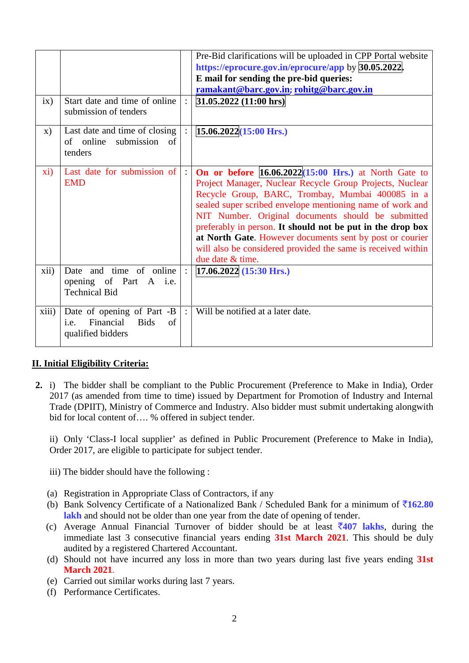| ix)           | Start date and time of online                                                                     |         | Pre-Bid clarifications will be uploaded in CPP Portal website<br>https://eprocure.gov.in/eprocure/app by 30.05.2022.<br>E mail for sending the pre-bid queries:<br>ramakant@barc.gov.in; rohitg@barc.gov.in<br>31.05.2022(11:00 hrs)                                                                                                                                                                                                                                                                    |
|---------------|---------------------------------------------------------------------------------------------------|---------|---------------------------------------------------------------------------------------------------------------------------------------------------------------------------------------------------------------------------------------------------------------------------------------------------------------------------------------------------------------------------------------------------------------------------------------------------------------------------------------------------------|
|               | submission of tenders                                                                             |         |                                                                                                                                                                                                                                                                                                                                                                                                                                                                                                         |
| $\mathbf{x})$ | Last date and time of closing<br>submission<br>$\sigma$<br>of online<br>tenders                   |         | $15.06.2022(15:00$ Hrs.)                                                                                                                                                                                                                                                                                                                                                                                                                                                                                |
| xi)           | Last date for submission of<br><b>EMD</b>                                                         |         | On or before $16.06.2022(15:00$ Hrs.) at North Gate to<br>Project Manager, Nuclear Recycle Group Projects, Nuclear<br>Recycle Group, BARC, Trombay, Mumbai 400085 in a<br>sealed super scribed envelope mentioning name of work and<br>NIT Number. Original documents should be submitted<br>preferably in person. It should not be put in the drop box<br>at North Gate. However documents sent by post or courier<br>will also be considered provided the same is received within<br>due date & time. |
| xii)          | and time of online<br>Date<br>opening of Part A i.e.<br><b>Technical Bid</b>                      | $\cdot$ | $17.06.2022$ (15:30 Hrs.)                                                                                                                                                                                                                                                                                                                                                                                                                                                                               |
| xiii)         | Date of opening of Part -B<br>Financial<br><b>Bids</b><br>$\sigma$ f<br>i.e.<br>qualified bidders |         | Will be notified at a later date.                                                                                                                                                                                                                                                                                                                                                                                                                                                                       |

# **II. Initial Eligibility Criteria:**

**2.** i) The bidder shall be compliant to the Public Procurement (Preference to Make in India), Order 2017 (as amended from time to time) issued by Department for Promotion of Industry and Internal Trade (DPIIT), Ministry of Commerce and Industry. Also bidder must submit undertaking alongwith bid for local content of.... % offered in subject tender.

ii) Only 'Class-I local supplier' as defined in Public Procurement (Preference to Make in India), Order 2017, are eligible to participate for subject tender.

iii) The bidder should have the following :

- (a) Registration in Appropriate Class of Contractors, if any
- (b) Bank Solvency Certificate of a Nationalized Bank / Scheduled Bank for a minimum of  $\overline{5162.80}$ **lakh** and should not be older than one year from the date of opening of tender.
- (c) Average Annual Financial Turnover of bidder should be at least  $\overline{407}$  lakhs, during the immediate last 3 consecutive financial years ending **31st March 2021**. This should be duly audited by a registered Chartered Accountant.
- (d) Should not have incurred any loss in more than two years during last five years ending **31st March 2021**.
- (e) Carried out similar works during last 7 years.
- (f) Performance Certificates.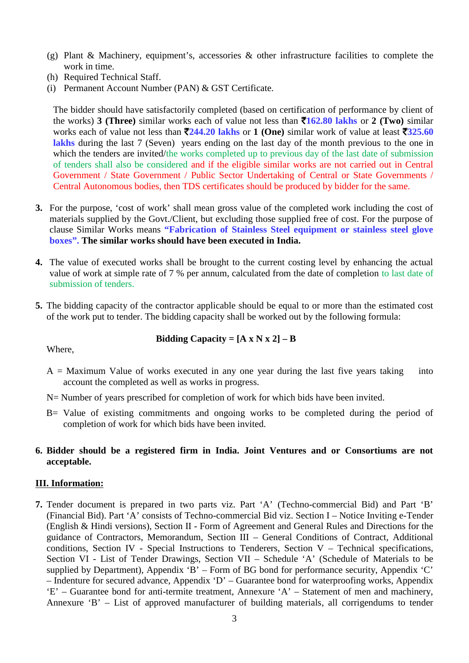- (g) Plant & Machinery, equipment's, accessories & other infrastructure facilities to complete the work in time.
- (h) Required Technical Staff.
- (i) Permanent Account Number (PAN) & GST Certificate.

The bidder should have satisfactorily completed (based on certification of performance by client of the works) **3 (Three)** similar works each of value not less than **`162.80 lakhs** or **2 (Two)** similar works each of value not less than **`244.20 lakhs** or **1 (One)** similar work of value at least **`325.60 lakhs** during the last 7 (Seven) years ending on the last day of the month previous to the one in which the tenders are invited/the works completed up to previous day of the last date of submission of tenders shall also be considered and if the eligible similar works are not carried out in Central Government / State Government / Public Sector Undertaking of Central or State Governments / Central Autonomous bodies, then TDS certificates should be produced by bidder for the same.

- **3.** For the purpose, 'cost of work' shall mean gross value of the completed work including the cost of materials supplied by the Govt./Client, but excluding those supplied free of cost. For the purpose of clause Similar Works means **"Fabrication of Stainless Steel equipment or stainless steel glove boxes". The similar works should have been executed in India.**
- **4.** The value of executed works shall be brought to the current costing level by enhancing the actual value of work at simple rate of 7 % per annum, calculated from the date of completion to last date of submission of tenders.
- **5.** The bidding capacity of the contractor applicable should be equal to or more than the estimated cost of the work put to tender. The bidding capacity shall be worked out by the following formula:

Where,

### **Bidding Capacity =**  $[A \times N \times 2]$  **– <b>B**

- $A =$  Maximum Value of works executed in any one year during the last five years taking into account the completed as well as works in progress.
- N= Number of years prescribed for completion of work for which bids have been invited.
- B= Value of existing commitments and ongoing works to be completed during the period of completion of work for which bids have been invited.

### **6. Bidder should be a registered firm in India. Joint Ventures and or Consortiums are not acceptable.**

#### **III. Information:**

**7.** Tender document is prepared in two parts viz. Part 'A' (Techno-commercial Bid) and Part 'B' (Financial Bid). Part 'A' consists of Techno-commercial Bid viz. Section I – Notice Inviting e-Tender (English & Hindi versions), Section II - Form of Agreement and General Rules and Directions for the guidance of Contractors, Memorandum, Section III – General Conditions of Contract, Additional conditions, Section IV - Special Instructions to Tenderers, Section V – Technical specifications, Section VI - List of Tender Drawings, Section VII – Schedule 'A' (Schedule of Materials to be supplied by Department), Appendix 'B' – Form of BG bond for performance security, Appendix 'C' – Indenture for secured advance, Appendix 'D' – Guarantee bond for waterproofing works, Appendix 'E' – Guarantee bond for anti-termite treatment, Annexure 'A' – Statement of men and machinery, Annexure `B' – List of approved manufacturer of building materials, all corrigendums to tender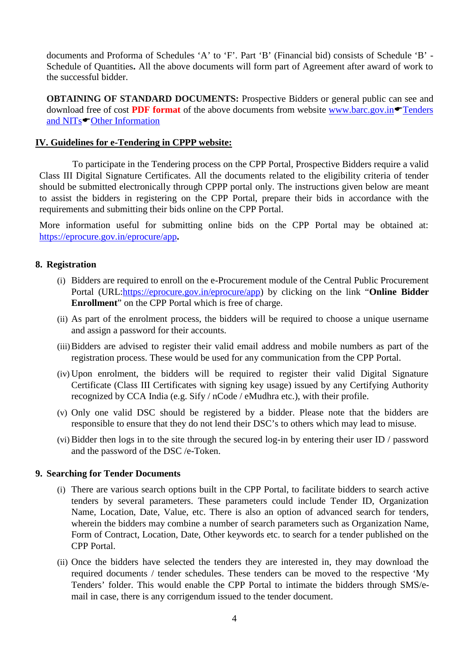documents and Proforma of Schedules 'A' to 'F'. Part 'B' (Financial bid) consists of Schedule 'B' - Schedule of Quantities**.** All the above documents will form part of Agreement after award of work to the successful bidder.

**OBTAINING OF STANDARD DOCUMENTS:** Prospective Bidders or general public can see and download free of cost **PDF format** of the above documents from website www.barc.gov.in $\triangle$ Tenders and  $NITs$   $\blacktriangleright$  Other Information

#### **IV. Guidelines for e-Tendering in CPPP website:**

To participate in the Tendering process on the CPP Portal, Prospective Bidders require a valid Class III Digital Signature Certificates. All the documents related to the eligibility criteria of tender should be submitted electronically through CPPP portal only. The instructions given below are meant to assist the bidders in registering on the CPP Portal, prepare their bids in accordance with the requirements and submitting their bids online on the CPP Portal.

More information useful for submitting online bids on the CPP Portal may be obtained at: https://eprocure.gov.in/eprocure/app**.**

#### **8. Registration**

- (i) Bidders are required to enroll on the e-Procurement module of the Central Public Procurement Portal (URL:https://eprocure.gov.in/eprocure/app) by clicking on the link "**Online Bidder Enrollment**" on the CPP Portal which is free of charge.
- (ii) As part of the enrolment process, the bidders will be required to choose a unique username and assign a password for their accounts.
- (iii)Bidders are advised to register their valid email address and mobile numbers as part of the registration process. These would be used for any communication from the CPP Portal.
- (iv) Upon enrolment, the bidders will be required to register their valid Digital Signature Certificate (Class III Certificates with signing key usage) issued by any Certifying Authority recognized by CCA India (e.g. Sify / nCode / eMudhra etc.), with their profile.
- (v) Only one valid DSC should be registered by a bidder. Please note that the bidders are responsible to ensure that they do not lend their DSC's to others which may lead to misuse.
- (vi) Bidder then logs in to the site through the secured log-in by entering their user ID / password and the password of the DSC /e-Token.

### **9. Searching for Tender Documents**

- (i) There are various search options built in the CPP Portal, to facilitate bidders to search active tenders by several parameters. These parameters could include Tender ID, Organization Name, Location, Date, Value, etc. There is also an option of advanced search for tenders, wherein the bidders may combine a number of search parameters such as Organization Name, Form of Contract, Location, Date, Other keywords etc. to search for a tender published on the CPP Portal.
- (ii) Once the bidders have selected the tenders they are interested in, they may download the required documents / tender schedules. These tenders can be moved to the respective 'My Tenders' folder. This would enable the CPP Portal to intimate the bidders through SMS/e mail in case, there is any corrigendum issued to the tender document.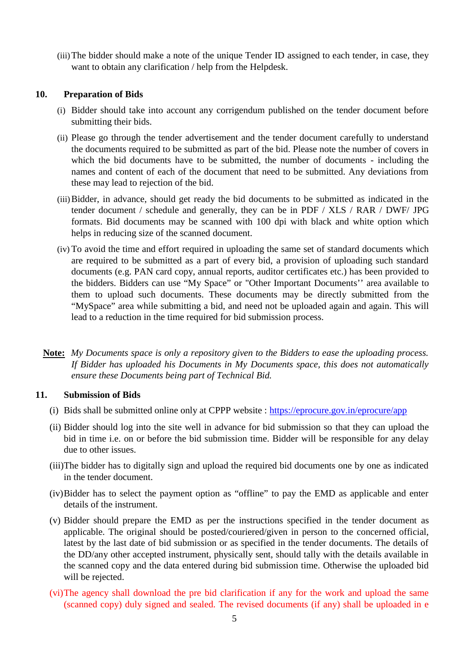(iii)The bidder should make a note of the unique Tender ID assigned to each tender, in case, they want to obtain any clarification / help from the Helpdesk.

### **10. Preparation of Bids**

- (i) Bidder should take into account any corrigendum published on the tender document before submitting their bids.
- (ii) Please go through the tender advertisement and the tender document carefully to understand the documents required to be submitted as part of the bid. Please note the number of covers in which the bid documents have to be submitted, the number of documents - including the names and content of each of the document that need to be submitted. Any deviations from these may lead to rejection of the bid.
- (iii)Bidder, in advance, should get ready the bid documents to be submitted as indicated in the tender document / schedule and generally, they can be in PDF / XLS / RAR / DWF/ JPG formats. Bid documents may be scanned with 100 dpi with black and white option which helps in reducing size of the scanned document.
- (iv) To avoid the time and effort required in uploading the same set of standard documents which are required to be submitted as a part of every bid, a provision of uploading such standard documents (e.g. PAN card copy, annual reports, auditor certificates etc.) has been provided to the bidders. Bidders can use "My Space" or "Other Important Documents'' area available to them to upload such documents. These documents may be directly submitted from the "MySpace" area while submitting a bid, and need not be uploaded again and again. This will lead to a reduction in the time required for bid submission process.
- **Note:** *My Documents space is only a repository given to the Bidders to ease the uploading process. If Bidder has uploaded his Documents in My Documents space, this does not automatically ensure these Documents being part of Technical Bid.*

### **11. Submission of Bids**

- (i) Bids shall be submitted online only at CPPP website : https://eprocure.gov.in/eprocure/app
- (ii) Bidder should log into the site well in advance for bid submission so that they can upload the bid in time i.e. on or before the bid submission time. Bidder will be responsible for any delay due to other issues.
- (iii)The bidder has to digitally sign and upload the required bid documents one by one as indicated in the tender document.
- (iv)Bidder has to select the payment option as "offline" to pay the EMD as applicable and enter details of the instrument.
- (v) Bidder should prepare the EMD as per the instructions specified in the tender document as applicable. The original should be posted/couriered/given in person to the concerned official, latest by the last date of bid submission or as specified in the tender documents. The details of the DD/any other accepted instrument, physically sent, should tally with the details available in the scanned copy and the data entered during bid submission time. Otherwise the uploaded bid will be rejected.
- (vi)The agency shall download the pre bid clarification if any for the work and upload the same (scanned copy) duly signed and sealed. The revised documents (if any) shall be uploaded in e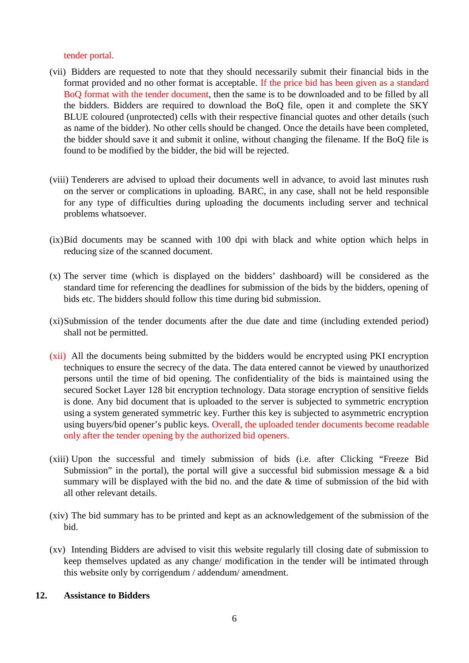tender portal.

- (vii) Bidders are requested to note that they should necessarily submit their financial bids in the format provided and no other format is acceptable. If the price bid has been given as a standard BoQ format with the tender document, then the same is to be downloaded and to be filled by all the bidders. Bidders are required to download the BoQ file, open it and complete the SKY BLUE coloured (unprotected) cells with their respective financial quotes and other details (such as name of the bidder). No other cells should be changed. Once the details have been completed, the bidder should save it and submit it online, without changing the filename. If the BoQ file is found to be modified by the bidder, the bid will be rejected.
- (viii) Tenderers are advised to upload their documents well in advance, to avoid last minutes rush on the server or complications in uploading. BARC, in any case, shall not be held responsible for any type of difficulties during uploading the documents including server and technical problems whatsoever.
- (ix)Bid documents may be scanned with 100 dpi with black and white option which helps in reducing size of the scanned document.
- (x) The server time (which is displayed on the bidders' dashboard) will be considered as the standard time for referencing the deadlines for submission of the bids by the bidders, opening of bids etc. The bidders should follow this time during bid submission.
- (xi)Submission of the tender documents after the due date and time (including extended period) shall not be permitted.
- (xii) All the documents being submitted by the bidders would be encrypted using PKI encryption techniques to ensure the secrecy of the data. The data entered cannot be viewed by unauthorized persons until the time of bid opening. The confidentiality of the bids is maintained using the secured Socket Layer 128 bit encryption technology. Data storage encryption of sensitive fields is done. Any bid document that is uploaded to the server is subjected to symmetric encryption using a system generated symmetric key. Further this key is subjected to asymmetric encryption using buyers/bid opener's public keys. Overall, the uploaded tender documents become readable only after the tender opening by the authorized bid openers.
- (xiii) Upon the successful and timely submission of bids (i.e. after Clicking "Freeze Bid Submission" in the portal), the portal will give a successful bid submission message  $\&$  a bid summary will be displayed with the bid no. and the date  $\&$  time of submission of the bid with all other relevant details.
- (xiv) The bid summary has to be printed and kept as an acknowledgement of the submission of the bid.
- (xv) Intending Bidders are advised to visit this website regularly till closing date of submission to keep themselves updated as any change/ modification in the tender will be intimated through this website only by corrigendum / addendum/ amendment.

### **12. Assistance to Bidders**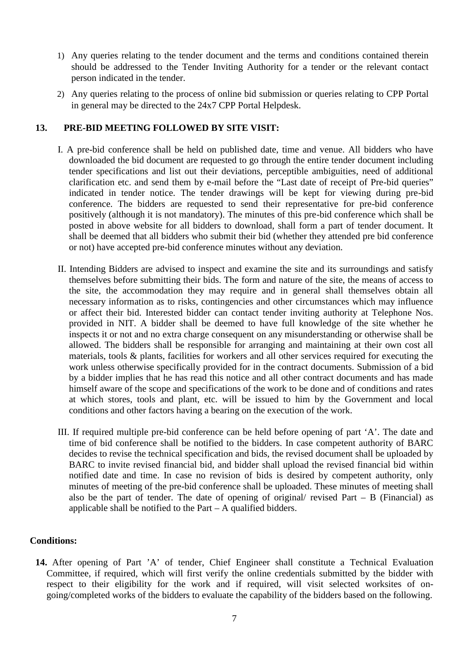- 1) Any queries relating to the tender document and the terms and conditions contained therein should be addressed to the Tender Inviting Authority for a tender or the relevant contact person indicated in the tender.
- 2) Any queries relating to the process of online bid submission or queries relating to CPP Portal in general may be directed to the 24x7 CPP Portal Helpdesk.

## **13. PRE-BID MEETING FOLLOWED BY SITE VISIT:**

- I. A pre-bid conference shall be held on published date, time and venue. All bidders who have downloaded the bid document are requested to go through the entire tender document including tender specifications and list out their deviations, perceptible ambiguities, need of additional clarification etc. and send them by e-mail before the "Last date of receipt of Pre-bid queries" indicated in tender notice. The tender drawings will be kept for viewing during pre-bid conference. The bidders are requested to send their representative for pre-bid conference positively (although it is not mandatory). The minutes of this pre-bid conference which shall be posted in above website for all bidders to download, shall form a part of tender document. It shall be deemed that all bidders who submit their bid (whether they attended pre bid conference or not) have accepted pre-bid conference minutes without any deviation.
- II. Intending Bidders are advised to inspect and examine the site and its surroundings and satisfy themselves before submitting their bids. The form and nature of the site, the means of access to the site, the accommodation they may require and in general shall themselves obtain all necessary information as to risks, contingencies and other circumstances which may influence or affect their bid. Interested bidder can contact tender inviting authority at Telephone Nos. provided in NIT. A bidder shall be deemed to have full knowledge of the site whether he inspects it or not and no extra charge consequent on any misunderstanding or otherwise shall be allowed. The bidders shall be responsible for arranging and maintaining at their own cost all materials, tools & plants, facilities for workers and all other services required for executing the work unless otherwise specifically provided for in the contract documents. Submission of a bid by a bidder implies that he has read this notice and all other contract documents and has made himself aware of the scope and specifications of the work to be done and of conditions and rates at which stores, tools and plant, etc. will be issued to him by the Government and local conditions and other factors having a bearing on the execution of the work.
- III. If required multiple pre-bid conference can be held before opening of part 'A'. The date and time of bid conference shall be notified to the bidders. In case competent authority of BARC decides to revise the technical specification and bids, the revised document shall be uploaded by BARC to invite revised financial bid, and bidder shall upload the revised financial bid within notified date and time. In case no revision of bids is desired by competent authority, only minutes of meeting of the pre-bid conference shall be uploaded. These minutes of meeting shall also be the part of tender. The date of opening of original/ revised Part  $-$  B (Financial) as applicable shall be notified to the Part – A qualified bidders.

### **Conditions:**

**14.** After opening of Part 'A' of tender, Chief Engineer shall constitute a Technical Evaluation Committee, if required, which will first verify the online credentials submitted by the bidder with respect to their eligibility for the work and if required, will visit selected worksites of on going/completed works of the bidders to evaluate the capability of the bidders based on the following.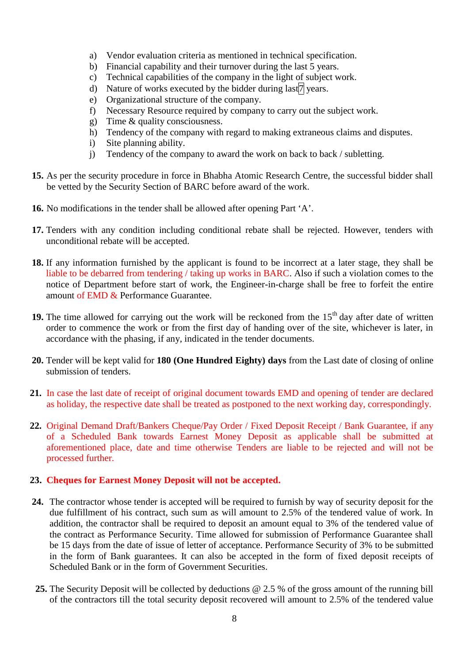- a) Vendor evaluation criteria as mentioned in technical specification.
- b) Financial capability and their turnover during the last 5 years.
- c) Technical capabilities of the company in the light of subject work.
- d) Nature of works executed by the bidder during last  $\frac{1}{2}$  years.
- e) Organizational structure of the company.
- f) Necessary Resource required by company to carry out the subject work.
- g) Time & quality consciousness.
- h) Tendency of the company with regard to making extraneous claims and disputes.
- i) Site planning ability.
- j) Tendency of the company to award the work on back to back / subletting.
- **15.** As per the security procedure in force in Bhabha Atomic Research Centre, the successful bidder shall be vetted by the Security Section of BARC before award of the work.
- **16.** No modifications in the tender shall be allowed after opening Part 'A'.
- **17.** Tenders with any condition including conditional rebate shall be rejected. However, tenders with unconditional rebate will be accepted.
- **18.** If any information furnished by the applicant is found to be incorrect at a later stage, they shall be liable to be debarred from tendering / taking up works in BARC. Also if such a violation comes to the notice of Department before start of work, the Engineer-in-charge shall be free to forfeit the entire amount of EMD & Performance Guarantee.
- 19. The time allowed for carrying out the work will be reckoned from the 15<sup>th</sup> day after date of written order to commence the work or from the first day of handing over of the site, whichever is later, in accordance with the phasing, if any, indicated in the tender documents.
- **20.** Tender will be kept valid for **180 (One Hundred Eighty) days** from the Last date of closing of online submission of tenders.
- **21.** In case the last date of receipt of original document towards EMD and opening of tender are declared as holiday, the respective date shall be treated as postponed to the next working day, correspondingly.
- **22.** Original Demand Draft/Bankers Cheque/Pay Order / Fixed Deposit Receipt / Bank Guarantee, if any of a Scheduled Bank towards Earnest Money Deposit as applicable shall be submitted at aforementioned place, date and time otherwise Tenders are liable to be rejected and will not be processed further.

# **23. Cheques for Earnest Money Deposit will not be accepted.**

- **24.** The contractor whose tender is accepted will be required to furnish by way of security deposit for the due fulfillment of his contract, such sum as will amount to 2.5% of the tendered value of work. In addition, the contractor shall be required to deposit an amount equal to 3% of the tendered value of the contract as Performance Security. Time allowed for submission of Performance Guarantee shall be 15 days from the date of issue of letter of acceptance. Performance Security of 3% to be submitted in the form of Bank guarantees. It can also be accepted in the form of fixed deposit receipts of Scheduled Bank or in the form of Government Securities.
- **25.** The Security Deposit will be collected by deductions @ 2.5 % of the gross amount of the running bill of the contractors till the total security deposit recovered will amount to 2.5% of the tendered value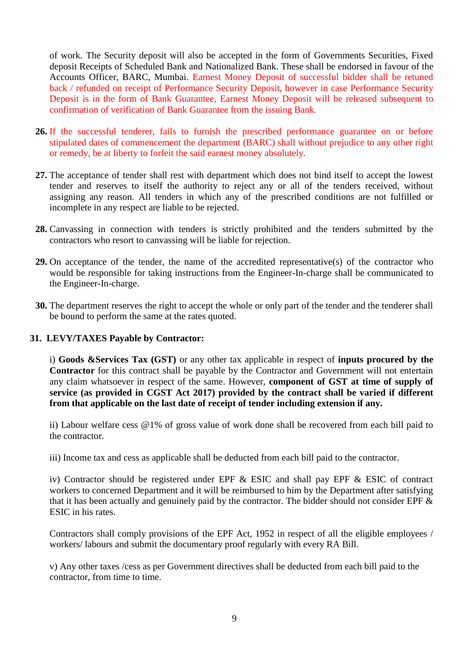of work. The Security deposit will also be accepted in the form of Governments Securities, Fixed deposit Receipts of Scheduled Bank and Nationalized Bank. These shall be endorsed in favour of the Accounts Officer, BARC, Mumbai. Earnest Money Deposit of successful bidder shall be retuned back / refunded on receipt of Performance Security Deposit, however in case Performance Security Deposit is in the form of Bank Guarantee, Earnest Money Deposit will be released subsequent to confirmation of verification of Bank Guarantee from the issuing Bank.

- **26.** If the successful tenderer, fails to furnish the prescribed performance guarantee on or before stipulated dates of commencement the department (BARC) shall without prejudice to any other right or remedy, be at liberty to forfeit the said earnest money absolutely.
- **27.** The acceptance of tender shall rest with department which does not bind itself to accept the lowest tender and reserves to itself the authority to reject any or all of the tenders received, without assigning any reason. All tenders in which any of the prescribed conditions are not fulfilled or incomplete in any respect are liable to be rejected.
- **28.** Canvassing in connection with tenders is strictly prohibited and the tenders submitted by the contractors who resort to canvassing will be liable for rejection.
- **29.** On acceptance of the tender, the name of the accredited representative(s) of the contractor who would be responsible for taking instructions from the Engineer-In-charge shall be communicated to the Engineer-In-charge.
- **30.** The department reserves the right to accept the whole or only part of the tender and the tenderer shall be bound to perform the same at the rates quoted.

### **31. LEVY/TAXES Payable by Contractor:**

i) **Goods &Services Tax (GST)** or any other tax applicable in respect of **inputs procured by the Contractor** for this contract shall be payable by the Contractor and Government will not entertain any claim whatsoever in respect of the same. However, **component of GST at time of supply of service (as provided in CGST Act 2017) provided by the contract shall be varied if different from that applicable on the last date of receipt of tender including extension if any.**

ii) Labour welfare cess @1% of gross value of work done shall be recovered from each bill paid to the contractor.

iii) Income tax and cess as applicable shall be deducted from each bill paid to the contractor.

iv) Contractor should be registered under EPF & ESIC and shall pay EPF & ESIC of contract workers to concerned Department and it will be reimbursed to him by the Department after satisfying that it has been actually and genuinely paid by the contractor. The bidder should not consider EPF  $\&$ ESIC in his rates.

Contractors shall comply provisions of the EPF Act, 1952 in respect of all the eligible employees / workers/ labours and submit the documentary proof regularly with every RA Bill.

v) Any other taxes /cess as per Government directives shall be deducted from each bill paid to the contractor, from time to time.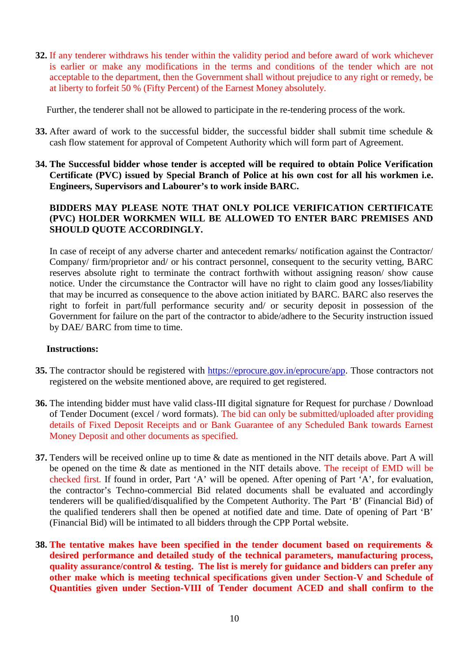**32.** If any tenderer withdraws his tender within the validity period and before award of work whichever is earlier or make any modifications in the terms and conditions of the tender which are not acceptable to the department, then the Government shall without prejudice to any right or remedy, be at liberty to forfeit 50 % (Fifty Percent) of the Earnest Money absolutely.

Further, the tenderer shall not be allowed to participate in the re-tendering process of the work.

- **33.** After award of work to the successful bidder, the successful bidder shall submit time schedule & cash flow statement for approval of Competent Authority which will form part of Agreement.
- **34. The Successful bidder whose tender is accepted will be required to obtain Police Verification Certificate (PVC) issued by Special Branch of Police at his own cost for all his workmen i.e. Engineers, Supervisors and Labourer's to work inside BARC.**

## **BIDDERS MAY PLEASE NOTE THAT ONLY POLICE VERIFICATION CERTIFICATE (PVC) HOLDER WORKMEN WILL BE ALLOWED TO ENTER BARC PREMISES AND SHOULD QUOTE ACCORDINGLY.**

In case of receipt of any adverse charter and antecedent remarks/ notification against the Contractor/ Company/ firm/proprietor and/ or his contract personnel, consequent to the security vetting, BARC reserves absolute right to terminate the contract forthwith without assigning reason/ show cause notice. Under the circumstance the Contractor will have no right to claim good any losses/liability that may be incurred as consequence to the above action initiated by BARC. BARC also reserves the right to forfeit in part/full performance security and/ or security deposit in possession of the Government for failure on the part of the contractor to abide/adhere to the Security instruction issued by DAE/ BARC from time to time.

#### **Instructions:**

- **35.** The contractor should be registered with https://eprocure.gov.in/eprocure/app. Those contractors not registered on the website mentioned above, are required to get registered.
- **36.** The intending bidder must have valid class-III digital signature for Request for purchase / Download of Tender Document (excel / word formats). The bid can only be submitted/uploaded after providing details of Fixed Deposit Receipts and or Bank Guarantee of any Scheduled Bank towards Earnest Money Deposit and other documents as specified.
- **37.** Tenders will be received online up to time & date as mentioned in the NIT details above. Part A will be opened on the time & date as mentioned in the NIT details above. The receipt of EMD will be checked first. If found in order, Part 'A' will be opened. After opening of Part 'A', for evaluation, the contractor's Techno-commercial Bid related documents shall be evaluated and accordingly tenderers will be qualified/disqualified by the Competent Authority. The Part 'B' (Financial Bid) of the qualified tenderers shall then be opened at notified date and time. Date of opening of Part 'B' (Financial Bid) will be intimated to all bidders through the CPP Portal website.
- **38. The tentative makes have been specified in the tender document based on requirements & desired performance and detailed study of the technical parameters, manufacturing process, quality assurance/control & testing. The list is merely for guidance and bidders can prefer any other make which is meeting technical specifications given under Section-V and Schedule of Quantities given under Section-VIII of Tender document ACED and shall confirm to the**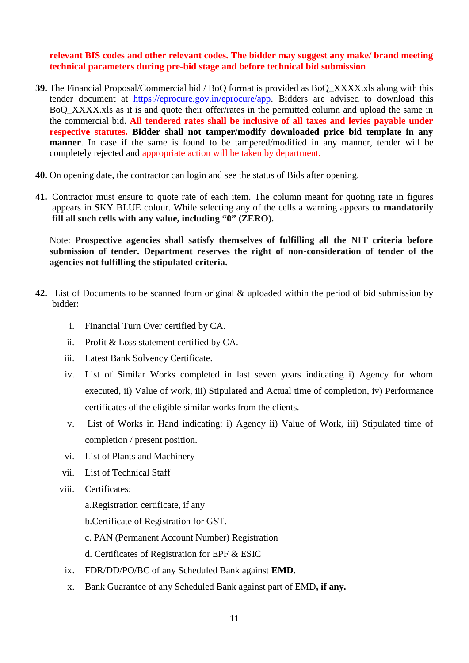## **relevant BIS codes and other relevant codes. The bidder may suggest any make/ brand meeting technical parameters during pre-bid stage and before technical bid submission**

- **39.** The Financial Proposal/Commercial bid / BoQ format is provided as BoQ\_XXXX.xls along with this tender document at https://eprocure.gov.in/eprocure/app. Bidders are advised to download this BoO XXXX.xls as it is and quote their offer/rates in the permitted column and upload the same in the commercial bid. **All tendered rates shall be inclusive of all taxes and levies payable under respective statutes. Bidder shall not tamper/modify downloaded price bid template in any manner**. In case if the same is found to be tampered/modified in any manner, tender will be completely rejected and appropriate action will be taken by department.
- **40.** On opening date, the contractor can login and see the status of Bids after opening.
- **41.** Contractor must ensure to quote rate of each item. The column meant for quoting rate in figures appears in SKY BLUE colour. While selecting any of the cells a warning appears **to mandatorily fill all such cells with any value, including "0" (ZERO).**

Note: **Prospective agencies shall satisfy themselves of fulfilling all the NIT criteria before submission of tender. Department reserves the right of non-consideration of tender of the agencies not fulfilling the stipulated criteria.**

- **42.** List of Documents to be scanned from original & uploaded within the period of bid submission by bidder:
	- i. Financial Turn Over certified by CA.
	- ii. Profit & Loss statement certified by CA.
	- iii. Latest Bank Solvency Certificate.
	- iv. List of Similar Works completed in last seven years indicating i) Agency for whom executed, ii) Value of work, iii) Stipulated and Actual time of completion, iv) Performance certificates of the eligible similar works from the clients.
	- v. List of Works in Hand indicating: i) Agency ii) Value of Work, iii) Stipulated time of completion / present position.
	- vi. List of Plants and Machinery
	- vii. List of Technical Staff
	- viii. Certificates:
		- a.Registration certificate, if any
		- b.Certificate of Registration for GST.
		- c. PAN (Permanent Account Number) Registration
		- d. Certificates of Registration for EPF & ESIC
		- ix. FDR/DD/PO/BC of any Scheduled Bank against **EMD**.
		- x. Bank Guarantee of any Scheduled Bank against part of EMD**, if any.**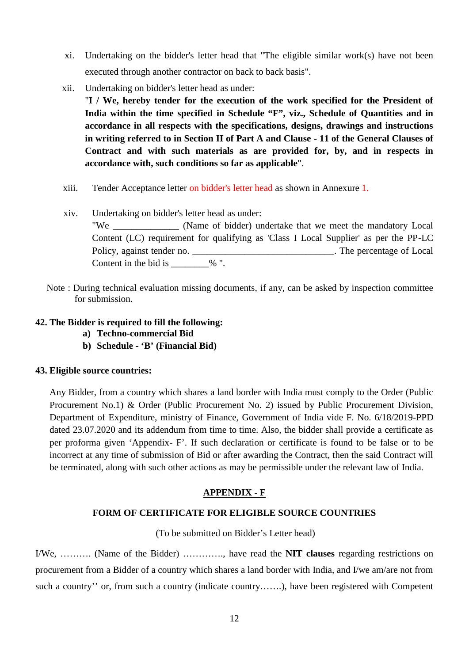- xi. Undertaking on the bidder's letter head that "The eligible similar work(s) have not been executed through another contractor on back to back basis".
- xii. Undertaking on bidder's letter head as under:

"**I / We, hereby tender for the execution of the work specified for the President of India within the time specified in Schedule "F", viz., Schedule of Quantities and in accordance in all respects with the specifications, designs, drawings and instructions in writing referred to in Section II of Part A and Clause - 11 of the General Clauses of Contract and with such materials as are provided for, by, and in respects in accordance with, such conditions so far as applicable**".

- xiii. Tender Acceptance letter on bidder's letter head as shown in Annexure 1.
- xiv. Undertaking on bidder's letter head as under:

"We \_\_\_\_\_\_\_\_\_\_\_\_\_\_ (Name of bidder) undertake that we meet the mandatory Local Content (LC) requirement for qualifying as 'Class I Local Supplier' as per the PP-LC Policy, against tender no. \_\_\_\_\_\_\_\_\_\_\_\_\_\_\_\_\_\_\_\_\_\_\_\_\_\_\_\_\_\_\_. The percentage of Local Content in the bid is \_\_\_\_\_\_\_\_% ".

Note : During technical evaluation missing documents, if any, can be asked by inspection committee for submission.

## **42. The Bidder is required to fill the following:**

- **a) Techno-commercial Bid**
- **b) Schedule - 'B' (Financial Bid)**

### **43. Eligible source countries:**

Any Bidder, from a country which shares a land border with India must comply to the Order (Public Procurement No.1) & Order (Public Procurement No. 2) issued by Public Procurement Division, Department of Expenditure, ministry of Finance, Government of India vide F. No. 6/18/2019-PPD dated 23.07.2020 and its addendum from time to time. Also, the bidder shall provide a certificate as per proforma given 'Appendix- F'. If such declaration or certificate is found to be false or to be incorrect at any time of submission of Bid or after awarding the Contract, then the said Contract will be terminated, along with such other actions as may be permissible under the relevant law of India.

# **APPENDIX - F**

# **FORM OF CERTIFICATE FOR ELIGIBLE SOURCE COUNTRIES**

(To be submitted on Bidder's Letter head)

I/We, ………. (Name of the Bidder) …………., have read the **NIT clauses** regarding restrictions on procurement from a Bidder of a country which shares a land border with India, and I/we am/are not from such a country'' or, from such a country (indicate country…….), have been registered with Competent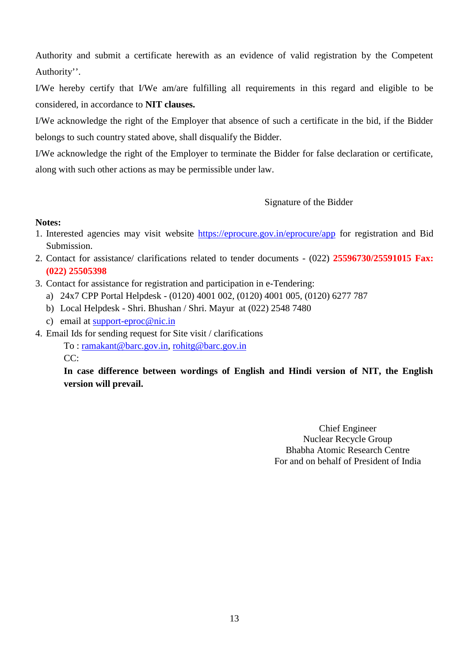Authority and submit a certificate herewith as an evidence of valid registration by the Competent Authority''.

I/We hereby certify that I/We am/are fulfilling all requirements in this regard and eligible to be considered, in accordance to **NIT clauses.**

I/We acknowledge the right of the Employer that absence of such a certificate in the bid, if the Bidder belongs to such country stated above, shall disqualify the Bidder.

I/We acknowledge the right of the Employer to terminate the Bidder for false declaration or certificate, along with such other actions as may be permissible under law.

# Signature of the Bidder

# **Notes:**

- 1. Interested agencies may visit website https://eprocure.gov.in/eprocure/app for registration and Bid Submission.
- 2. Contact for assistance/ clarifications related to tender documents (022) **25596730/25591015 Fax: (022) 25505398**
- 3. Contact for assistance for registration and participation in e-Tendering:
	- a) 24x7 CPP Portal Helpdesk (0120) 4001 002, (0120) 4001 005, (0120) 6277 787
	- b) Local Helpdesk Shri. Bhushan / Shri. Mayur at (022) 2548 7480
	- c) email at support-eproc@nic.in
- 4. Email Ids for sending request for Site visit / clarifications

To : ramakant@barc.gov.in, rohitg@barc.gov.in

 $CC:$ 

**In case difference between wordings of English and Hindi version of NIT, the English version will prevail.**

> Chief Engineer Nuclear Recycle Group Bhabha Atomic Research Centre For and on behalf of President of India